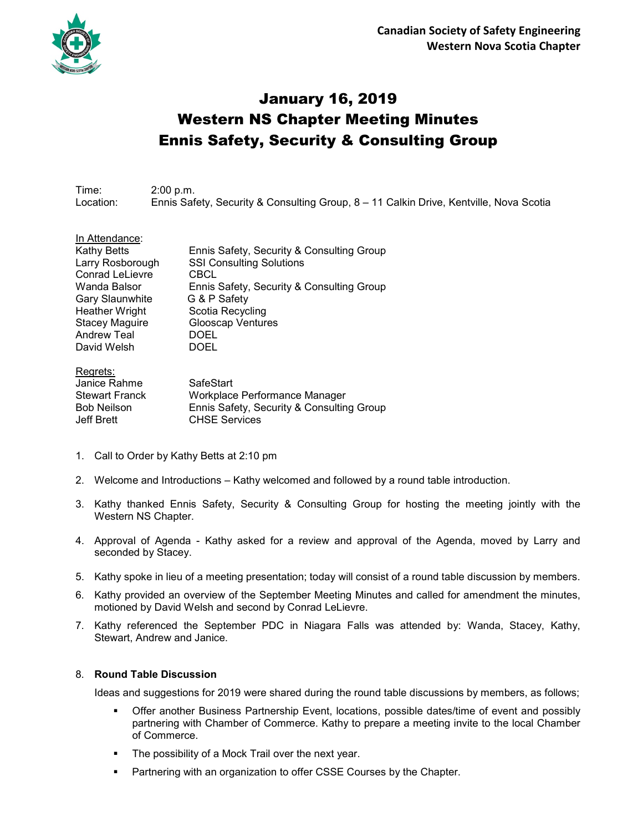

# January 16, 2019 Western NS Chapter Meeting Minutes Ennis Safety, Security & Consulting Group

Time: 2:00 p.m. Location: Ennis Safety, Security & Consulting Group, 8 – 11 Calkin Drive, Kentville, Nova Scotia

| In Attendance:         |                                           |
|------------------------|-------------------------------------------|
| Kathy Betts            | Ennis Safety, Security & Consulting Group |
| Larry Rosborough       | <b>SSI Consulting Solutions</b>           |
| <b>Conrad LeLievre</b> | CBCL                                      |
| Wanda Balsor           | Ennis Safety, Security & Consulting Group |
| <b>Gary Slaunwhite</b> | G & P Safety                              |
| <b>Heather Wright</b>  | Scotia Recycling                          |
| <b>Stacey Maguire</b>  | <b>Glooscap Ventures</b>                  |
| <b>Andrew Teal</b>     | <b>DOEL</b>                               |
| David Welsh            | <b>DOEL</b>                               |
|                        |                                           |

| Regrets:              |                                           |
|-----------------------|-------------------------------------------|
| Janice Rahme          | SafeStart                                 |
| <b>Stewart Franck</b> | Workplace Performance Manager             |
| <b>Bob Neilson</b>    | Ennis Safety, Security & Consulting Group |
| Jeff Brett            | <b>CHSE Services</b>                      |

- 1. Call to Order by Kathy Betts at 2:10 pm
- 2. Welcome and Introductions Kathy welcomed and followed by a round table introduction.
- 3. Kathy thanked Ennis Safety, Security & Consulting Group for hosting the meeting jointly with the Western NS Chapter.
- 4. Approval of Agenda Kathy asked for a review and approval of the Agenda, moved by Larry and seconded by Stacey.
- 5. Kathy spoke in lieu of a meeting presentation; today will consist of a round table discussion by members.
- 6. Kathy provided an overview of the September Meeting Minutes and called for amendment the minutes, motioned by David Welsh and second by Conrad LeLievre.
- 7. Kathy referenced the September PDC in Niagara Falls was attended by: Wanda, Stacey, Kathy, Stewart, Andrew and Janice.

### 8. **Round Table Discussion**

Ideas and suggestions for 2019 were shared during the round table discussions by members, as follows;

- Offer another Business Partnership Event, locations, possible dates/time of event and possibly partnering with Chamber of Commerce. Kathy to prepare a meeting invite to the local Chamber of Commerce.
- **The possibility of a Mock Trail over the next year.**
- **Partnering with an organization to offer CSSE Courses by the Chapter.**